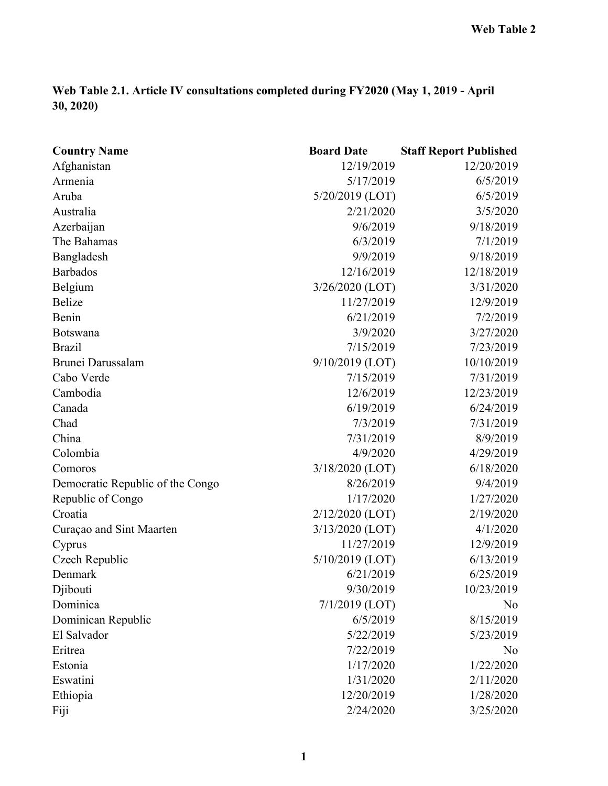## **Web Table 2.1. Article IV consultations completed during FY2020 (May 1, 2019 - April 30, 2020)**

| <b>Country Name</b>              | <b>Board Date</b> | <b>Staff Report Published</b> |
|----------------------------------|-------------------|-------------------------------|
| Afghanistan                      | 12/19/2019        | 12/20/2019                    |
| Armenia                          | 5/17/2019         | 6/5/2019                      |
| Aruba                            | 5/20/2019 (LOT)   | 6/5/2019                      |
| Australia                        | 2/21/2020         | 3/5/2020                      |
| Azerbaijan                       | 9/6/2019          | 9/18/2019                     |
| The Bahamas                      | 6/3/2019          | 7/1/2019                      |
| Bangladesh                       | 9/9/2019          | 9/18/2019                     |
| <b>Barbados</b>                  | 12/16/2019        | 12/18/2019                    |
| Belgium                          | 3/26/2020 (LOT)   | 3/31/2020                     |
| <b>Belize</b>                    | 11/27/2019        | 12/9/2019                     |
| Benin                            | 6/21/2019         | 7/2/2019                      |
| <b>Botswana</b>                  | 3/9/2020          | 3/27/2020                     |
| <b>Brazil</b>                    | 7/15/2019         | 7/23/2019                     |
| <b>Brunei Darussalam</b>         | 9/10/2019 (LOT)   | 10/10/2019                    |
| Cabo Verde                       | 7/15/2019         | 7/31/2019                     |
| Cambodia                         | 12/6/2019         | 12/23/2019                    |
| Canada                           | 6/19/2019         | 6/24/2019                     |
| Chad                             | 7/3/2019          | 7/31/2019                     |
| China                            | 7/31/2019         | 8/9/2019                      |
| Colombia                         | 4/9/2020          | 4/29/2019                     |
| Comoros                          | 3/18/2020 (LOT)   | 6/18/2020                     |
| Democratic Republic of the Congo | 8/26/2019         | 9/4/2019                      |
| Republic of Congo                | 1/17/2020         | 1/27/2020                     |
| Croatia                          | 2/12/2020 (LOT)   | 2/19/2020                     |
| Curaçao and Sint Maarten         | 3/13/2020 (LOT)   | 4/1/2020                      |
| Cyprus                           | 11/27/2019        | 12/9/2019                     |
| Czech Republic                   | 5/10/2019 (LOT)   | 6/13/2019                     |
| Denmark                          | 6/21/2019         | 6/25/2019                     |
| Djibouti                         | 9/30/2019         | 10/23/2019                    |
| Dominica                         | $7/1/2019$ (LOT)  | No                            |
| Dominican Republic               | 6/5/2019          | 8/15/2019                     |
| El Salvador                      | 5/22/2019         | 5/23/2019                     |
| Eritrea                          | 7/22/2019         | No                            |
| Estonia                          | 1/17/2020         | 1/22/2020                     |
| Eswatini                         | 1/31/2020         | 2/11/2020                     |
| Ethiopia                         | 12/20/2019        | 1/28/2020                     |
| Fiji                             | 2/24/2020         | 3/25/2020                     |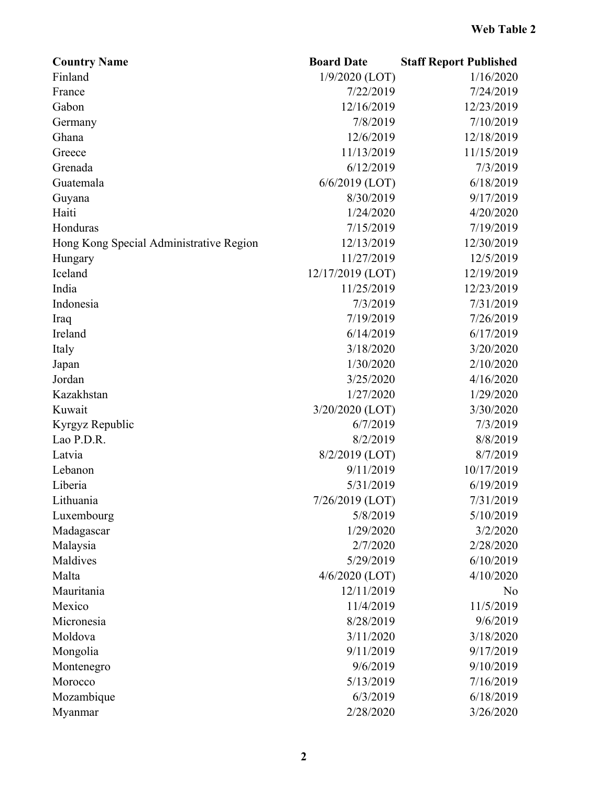| <b>Country Name</b>                     | <b>Board Date</b> | <b>Staff Report Published</b> |
|-----------------------------------------|-------------------|-------------------------------|
| Finland                                 | $1/9/2020$ (LOT)  | 1/16/2020                     |
| France                                  | 7/22/2019         | 7/24/2019                     |
| Gabon                                   | 12/16/2019        | 12/23/2019                    |
| Germany                                 | 7/8/2019          | 7/10/2019                     |
| Ghana                                   | 12/6/2019         | 12/18/2019                    |
| Greece                                  | 11/13/2019        | 11/15/2019                    |
| Grenada                                 | 6/12/2019         | 7/3/2019                      |
| Guatemala                               | $6/6/2019$ (LOT)  | 6/18/2019                     |
| Guyana                                  | 8/30/2019         | 9/17/2019                     |
| Haiti                                   | 1/24/2020         | 4/20/2020                     |
| Honduras                                | 7/15/2019         | 7/19/2019                     |
| Hong Kong Special Administrative Region | 12/13/2019        | 12/30/2019                    |
| Hungary                                 | 11/27/2019        | 12/5/2019                     |
| Iceland                                 | 12/17/2019 (LOT)  | 12/19/2019                    |
| India                                   | 11/25/2019        | 12/23/2019                    |
| Indonesia                               | 7/3/2019          | 7/31/2019                     |
| Iraq                                    | 7/19/2019         | 7/26/2019                     |
| Ireland                                 | 6/14/2019         | 6/17/2019                     |
| Italy                                   | 3/18/2020         | 3/20/2020                     |
| Japan                                   | 1/30/2020         | 2/10/2020                     |
| Jordan                                  | 3/25/2020         | 4/16/2020                     |
| Kazakhstan                              | 1/27/2020         | 1/29/2020                     |
| Kuwait                                  | 3/20/2020 (LOT)   | 3/30/2020                     |
| Kyrgyz Republic                         | 6/7/2019          | 7/3/2019                      |
| Lao P.D.R.                              | 8/2/2019          | 8/8/2019                      |
| Latvia                                  | 8/2/2019 (LOT)    | 8/7/2019                      |
| Lebanon                                 | 9/11/2019         | 10/17/2019                    |
| Liberia                                 | 5/31/2019         | 6/19/2019                     |
| Lithuania                               | 7/26/2019 (LOT)   | 7/31/2019                     |
| Luxembourg                              | 5/8/2019          | 5/10/2019                     |
| Madagascar                              | 1/29/2020         | 3/2/2020                      |
| Malaysia                                | 2/7/2020          | 2/28/2020                     |
| Maldives                                | 5/29/2019         | 6/10/2019                     |
| Malta                                   | $4/6/2020$ (LOT)  | 4/10/2020                     |
| Mauritania                              | 12/11/2019        | N <sub>o</sub>                |
| Mexico                                  | 11/4/2019         | 11/5/2019                     |
| Micronesia                              | 8/28/2019         | 9/6/2019                      |
| Moldova                                 | 3/11/2020         | 3/18/2020                     |
| Mongolia                                | 9/11/2019         | 9/17/2019                     |
| Montenegro                              | 9/6/2019          | 9/10/2019                     |
| Morocco                                 | 5/13/2019         | 7/16/2019                     |
| Mozambique                              | 6/3/2019          | 6/18/2019                     |
| Myanmar                                 | 2/28/2020         | 3/26/2020                     |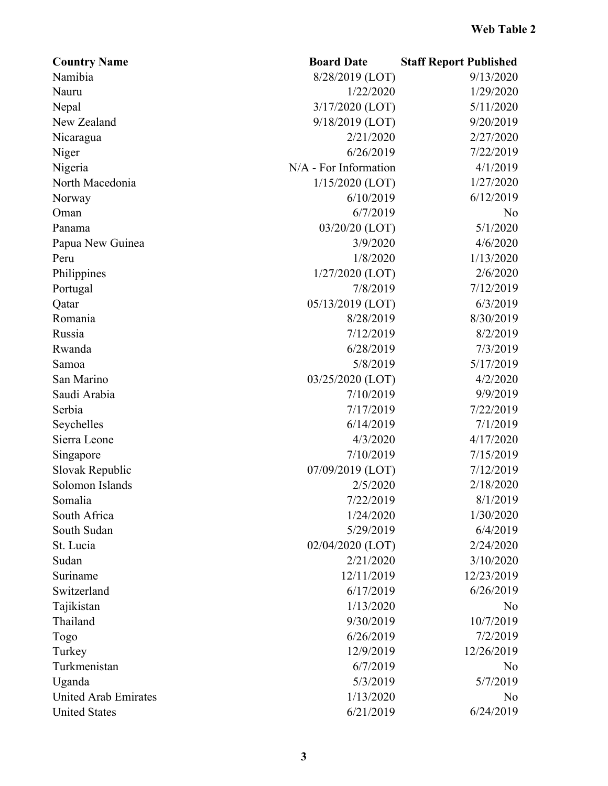| Namibia<br>8/28/2019 (LOT)<br>1/29/2020<br>1/22/2020<br>Nauru | 9/13/2020 |
|---------------------------------------------------------------|-----------|
|                                                               |           |
|                                                               |           |
| 3/17/2020 (LOT)<br>Nepal                                      | 5/11/2020 |
| 9/18/2019 (LOT)<br>New Zealand                                | 9/20/2019 |
| 2/21/2020<br>Nicaragua                                        | 2/27/2020 |
| 6/26/2019<br>Niger                                            | 7/22/2019 |
| N/A - For Information<br>Nigeria                              | 4/1/2019  |
| North Macedonia<br>$1/15/2020$ (LOT)                          | 1/27/2020 |
| 6/10/2019<br>Norway                                           | 6/12/2019 |
| 6/7/2019<br>Oman                                              | No        |
| 03/20/20 (LOT)<br>Panama                                      | 5/1/2020  |
| 3/9/2020<br>Papua New Guinea                                  | 4/6/2020  |
| 1/8/2020<br>Peru                                              | 1/13/2020 |
| $1/27/2020$ (LOT)<br>Philippines                              | 2/6/2020  |
| 7/8/2019<br>Portugal                                          | 7/12/2019 |
| 05/13/2019 (LOT)<br>Qatar                                     | 6/3/2019  |
| 8/28/2019<br>Romania                                          | 8/30/2019 |
| Russia<br>7/12/2019                                           | 8/2/2019  |
| Rwanda<br>6/28/2019                                           | 7/3/2019  |
| 5/8/2019<br>Samoa                                             | 5/17/2019 |
| San Marino<br>03/25/2020 (LOT)                                | 4/2/2020  |
| Saudi Arabia<br>7/10/2019                                     | 9/9/2019  |
| Serbia<br>7/17/2019                                           | 7/22/2019 |
| 6/14/2019<br>Seychelles                                       | 7/1/2019  |
| Sierra Leone<br>4/3/2020                                      | 4/17/2020 |
| 7/10/2019<br>Singapore                                        | 7/15/2019 |
| 07/09/2019 (LOT)<br>Slovak Republic                           | 7/12/2019 |
| 2/5/2020<br>Solomon Islands                                   | 2/18/2020 |
| 7/22/2019<br>Somalia                                          | 8/1/2019  |
| South Africa<br>1/24/2020                                     | 1/30/2020 |
| South Sudan<br>5/29/2019                                      | 6/4/2019  |
| 02/04/2020 (LOT)<br>St. Lucia                                 | 2/24/2020 |
| Sudan<br>2/21/2020                                            | 3/10/2020 |
| 12/23/2019<br>12/11/2019<br>Suriname                          |           |
| Switzerland<br>6/17/2019                                      | 6/26/2019 |
| Tajikistan<br>1/13/2020                                       | No        |
| Thailand<br>9/30/2019                                         | 10/7/2019 |
| 6/26/2019<br>Togo                                             | 7/2/2019  |
| 12/9/2019<br>12/26/2019<br>Turkey                             |           |
| Turkmenistan<br>6/7/2019                                      | No        |
| Uganda<br>5/3/2019                                            | 5/7/2019  |
| <b>United Arab Emirates</b><br>1/13/2020                      | No        |
| 6/21/2019<br><b>United States</b>                             | 6/24/2019 |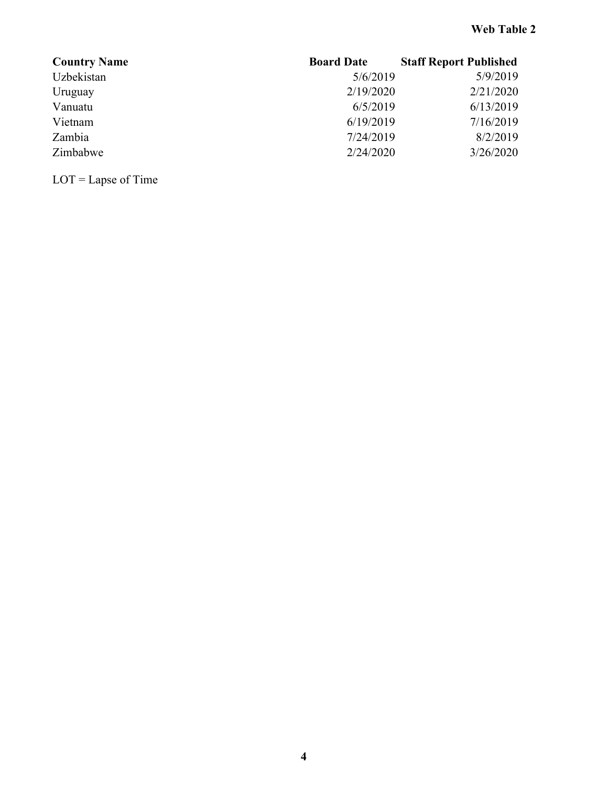| <b>Country Name</b> | <b>Board Date</b> | <b>Staff Report Published</b> |
|---------------------|-------------------|-------------------------------|
| Uzbekistan          | 5/6/2019          | 5/9/2019                      |
| Uruguay             | 2/19/2020         | 2/21/2020                     |
| Vanuatu             | 6/5/2019          | 6/13/2019                     |
| Vietnam             | 6/19/2019         | 7/16/2019                     |
| Zambia              | 7/24/2019         | 8/2/2019                      |
| Zimbabwe            | 2/24/2020         | 3/26/2020                     |

LOT = Lapse of Time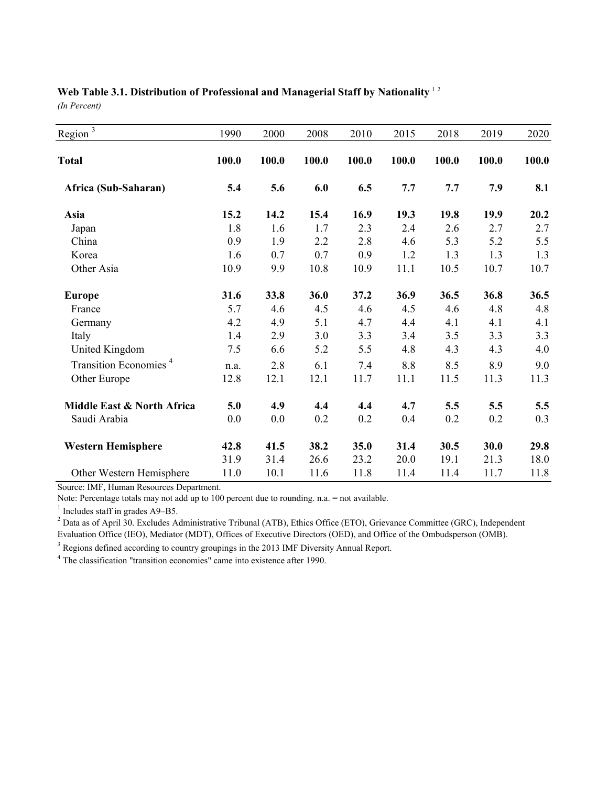# Web Table 3.1. Distribution of Professional and Managerial Staff by Nationality<sup>12</sup>

*(In Percent)*

| Region $\frac{1}{3}$              | 1990  | 2000  | 2008  | 2010  | 2015       | 2018  | 2019  | 2020  |
|-----------------------------------|-------|-------|-------|-------|------------|-------|-------|-------|
| <b>Total</b>                      | 100.0 | 100.0 | 100.0 | 100.0 | 100.0      | 100.0 | 100.0 | 100.0 |
| Africa (Sub-Saharan)              | 5.4   | 5.6   | 6.0   | 6.5   | 7.7        | 7.7   | 7.9   | 8.1   |
| Asia                              | 15.2  | 14.2  | 15.4  | 16.9  | 19.3       | 19.8  | 19.9  | 20.2  |
| Japan                             | 1.8   | 1.6   | 1.7   | 2.3   | 2.4        | 2.6   | 2.7   | 2.7   |
| China                             | 0.9   | 1.9   | 2.2   | 2.8   | 4.6<br>1.2 | 5.3   | 5.2   | 5.5   |
| Korea                             | 1.6   | 0.7   | 0.7   | 0.9   |            | 1.3   | 1.3   | 1.3   |
| Other Asia                        | 10.9  | 9.9   | 10.8  | 10.9  | 11.1       | 10.5  | 10.7  | 10.7  |
| <b>Europe</b>                     | 31.6  | 33.8  | 36.0  | 37.2  | 36.9       | 36.5  | 36.8  | 36.5  |
| France                            | 5.7   | 4.6   | 4.5   | 4.6   | 4.5        | 4.6   | 4.8   | 4.8   |
| Germany                           | 4.2   | 4.9   | 5.1   | 4.7   | 4.4        | 4.1   | 4.1   | 4.1   |
| Italy                             | 1.4   | 2.9   | 3.0   | 3.3   | 3.4        | 3.5   | 3.3   | 3.3   |
| United Kingdom                    | 7.5   | 6.6   | 5.2   | 5.5   | 4.8        | 4.3   | 4.3   | 4.0   |
| Transition Economies <sup>4</sup> | n.a.  | 2.8   | 6.1   | 7.4   | 8.8        | 8.5   | 8.9   | 9.0   |
| Other Europe                      | 12.8  | 12.1  | 12.1  | 11.7  | 11.1       | 11.5  | 11.3  | 11.3  |
| Middle East & North Africa        | 5.0   | 4.9   | 4.4   | 4.4   | 4.7        | 5.5   | 5.5   | 5.5   |
| Saudi Arabia                      | 0.0   | 0.0   | 0.2   | 0.2   | 0.4        | 0.2   | 0.2   | 0.3   |
| <b>Western Hemisphere</b>         | 42.8  | 41.5  | 38.2  | 35.0  | 31.4       | 30.5  | 30.0  | 29.8  |
|                                   | 31.9  | 31.4  | 26.6  | 23.2  | 20.0       | 19.1  | 21.3  | 18.0  |
| Other Western Hemisphere          | 11.0  | 10.1  | 11.6  | 11.8  | 11.4       | 11.4  | 11.7  | 11.8  |

Source: IMF, Human Resources Department.

Note: Percentage totals may not add up to 100 percent due to rounding. n.a. = not available.

 $<sup>1</sup>$  Includes staff in grades A9–B5.</sup>

 $^2$  Data as of April 30. Excludes Administrative Tribunal (ATB), Ethics Office (ETO), Grievance Committee (GRC), Independent Evaluation Office (IEO), Mediator (MDT), Offices of Executive Directors (OED), and Office of the Ombudsperson (OMB).

 $3$  Regions defined according to country groupings in the 2013 IMF Diversity Annual Report.

<sup>4</sup> The classification "transition economies" came into existence after 1990.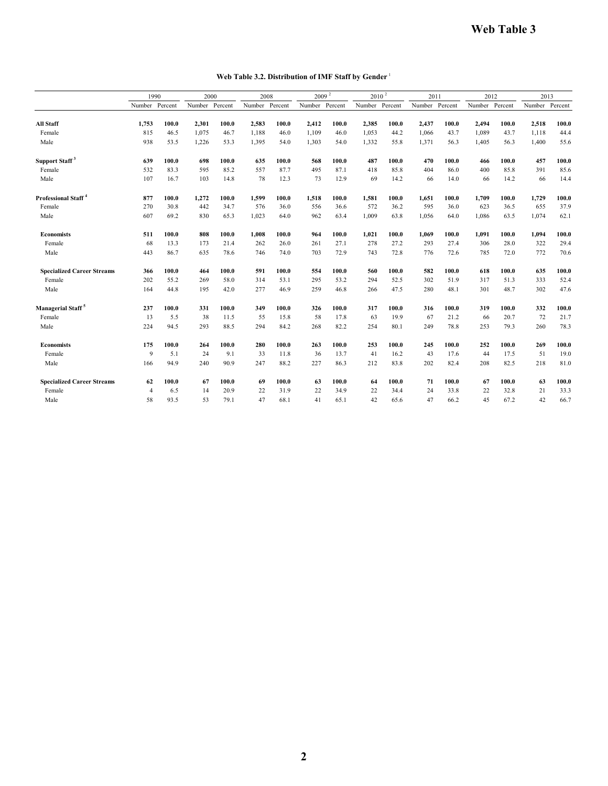#### **Web Table 3.2. Distribution of IMF Staff by Gender** <sup>1</sup>

|                                   |                | 1990    | 2000   |         | 2008           |       | 2009 <sup>2</sup> |         | $2010^{2}$ |         | 2011   |         | 2012   |         | 2013           |       |
|-----------------------------------|----------------|---------|--------|---------|----------------|-------|-------------------|---------|------------|---------|--------|---------|--------|---------|----------------|-------|
|                                   | Number         | Percent | Number | Percent | Number Percent |       | Number            | Percent | Number     | Percent | Number | Percent | Number | Percent | Number Percent |       |
| <b>All Staff</b>                  | 1.753          | 100.0   | 2,301  | 100.0   | 2,583          | 100.0 | 2,412             | 100.0   | 2,385      | 100.0   | 2,437  | 100.0   | 2,494  | 100.0   | 2,518          | 100.0 |
| Female                            | 815            | 46.5    | 1,075  | 46.7    | 1,188          | 46.0  | 1,109             | 46.0    | 1,053      | 44.2    | 1,066  | 43.7    | 1,089  | 43.7    | 1,118          | 44.4  |
| Male                              | 938            | 53.5    | 1,226  | 53.3    | 1,395          | 54.0  | 1,303             | 54.0    | 1,332      | 55.8    | 1,371  | 56.3    | 1,405  | 56.3    | 1,400          | 55.6  |
| Support Staff <sup>3</sup>        | 639            | 100.0   | 698    | 100.0   | 635            | 100.0 | 568               | 100.0   | 487        | 100.0   | 470    | 100.0   | 466    | 100.0   | 457            | 100.0 |
| Female                            | 532            | 83.3    | 595    | 85.2    | 557            | 87.7  | 495               | 87.1    | 418        | 85.8    | 404    | 86.0    | 400    | 85.8    | 391            | 85.6  |
| Male                              | 107            | 16.7    | 103    | 14.8    | 78             | 12.3  | 73                | 12.9    | 69         | 14.2    | 66     | 14.0    | 66     | 14.2    | 66             | 14.4  |
| Professional Staff <sup>4</sup>   | 877            | 100.0   | 1,272  | 100.0   | 1,599          | 100.0 | 1,518             | 100.0   | 1,581      | 100.0   | 1,651  | 100.0   | 1,709  | 100.0   | 1,729          | 100.0 |
| Female                            | 270            | 30.8    | 442    | 34.7    | 576            | 36.0  | 556               | 36.6    | 572        | 36.2    | 595    | 36.0    | 623    | 36.5    | 655            | 37.9  |
| Male                              | 607            | 69.2    | 830    | 65.3    | 1,023          | 64.0  | 962               | 63.4    | 1,009      | 63.8    | 1,056  | 64.0    | 1,086  | 63.5    | 1,074          | 62.1  |
| <b>Economists</b>                 | 511            | 100.0   | 808    | 100.0   | 1,008          | 100.0 | 964               | 100.0   | 1,021      | 100.0   | 1,069  | 100.0   | 1,091  | 100.0   | 1,094          | 100.0 |
| Female                            | 68             | 13.3    | 173    | 21.4    | 262            | 26.0  | 261               | 27.1    | 278        | 27.2    | 293    | 27.4    | 306    | 28.0    | 322            | 29.4  |
| Male                              | 443            | 86.7    | 635    | 78.6    | 746            | 74.0  | 703               | 72.9    | 743        | 72.8    | 776    | 72.6    | 785    | 72.0    | 772            | 70.6  |
| <b>Specialized Career Streams</b> | 366            | 100.0   | 464    | 100.0   | 591            | 100.0 | 554               | 100.0   | 560        | 100.0   | 582    | 100.0   | 618    | 100.0   | 635            | 100.0 |
| Female                            | 202            | 55.2    | 269    | 58.0    | 314            | 53.1  | 295               | 53.2    | 294        | 52.5    | 302    | 51.9    | 317    | 51.3    | 333            | 52.4  |
| Male                              | 164            | 44.8    | 195    | 42.0    | 277            | 46.9  | 259               | 46.8    | 266        | 47.5    | 280    | 48.1    | 301    | 48.7    | 302            | 47.6  |
| Managerial Staff <sup>5</sup>     | 237            | 100.0   | 331    | 100.0   | 349            | 100.0 | 326               | 100.0   | 317        | 100.0   | 316    | 100.0   | 319    | 100.0   | 332            | 100.0 |
| Female                            | 13             | 5.5     | 38     | 11.5    | 55             | 15.8  | 58                | 17.8    | 63         | 19.9    | 67     | 21.2    | 66     | 20.7    | 72             | 21.7  |
| Male                              | 224            | 94.5    | 293    | 88.5    | 294            | 84.2  | 268               | 82.2    | 254        | 80.1    | 249    | 78.8    | 253    | 79.3    | 260            | 78.3  |
| <b>Economists</b>                 | 175            | 100.0   | 264    | 100.0   | 280            | 100.0 | 263               | 100.0   | 253        | 100.0   | 245    | 100.0   | 252    | 100.0   | 269            | 100.0 |
| Female                            | 9              | 5.1     | 24     | 9.1     | 33             | 11.8  | 36                | 13.7    | 41         | 16.2    | 43     | 17.6    | 44     | 17.5    | 51             | 19.0  |
| Male                              | 166            | 94.9    | 240    | 90.9    | 247            | 88.2  | 227               | 86.3    | 212        | 83.8    | 202    | 82.4    | 208    | 82.5    | 218            | 81.0  |
| <b>Specialized Career Streams</b> | 62             | 100.0   | 67     | 100.0   | 69             | 100.0 | 63                | 100.0   | 64         | 100.0   | 71     | 100.0   | 67     | 100.0   | 63             | 100.0 |
| Female                            | $\overline{4}$ | 6.5     | 14     | 20.9    | 22             | 31.9  | 22                | 34.9    | 22         | 34.4    | 24     | 33.8    | 22     | 32.8    | 21             | 33.3  |
| Male                              | 58             | 93.5    | 53     | 79.1    | 47             | 68.1  | 41                | 65.1    | 42         | 65.6    | 47     | 66.2    | 45     | 67.2    | 42             | 66.7  |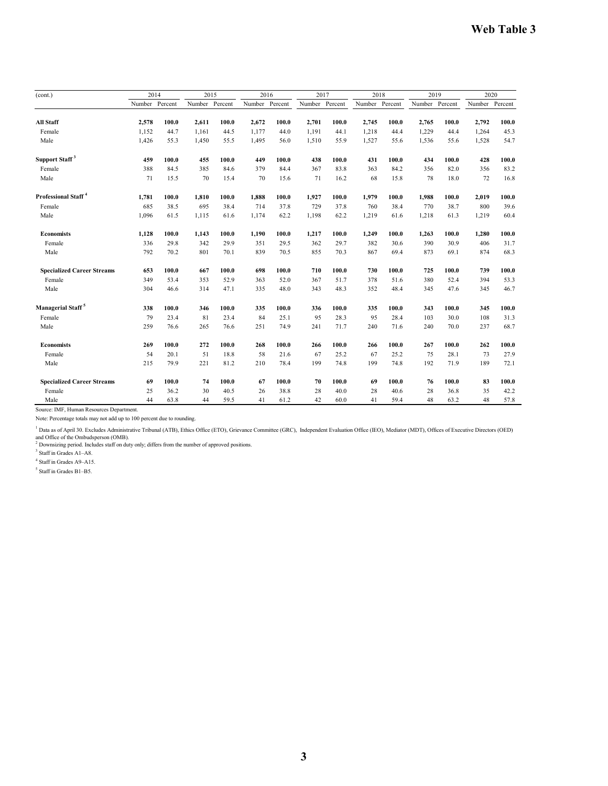| (cont.)                           |                | 2014  |                | 2015  |                | 2016  |                | 2017  |                | 2018  |                | 2019  |       | 2020           |  |
|-----------------------------------|----------------|-------|----------------|-------|----------------|-------|----------------|-------|----------------|-------|----------------|-------|-------|----------------|--|
|                                   | Number Percent |       | Number Percent |       | Number Percent |       | Number Percent |       | Number Percent |       | Number Percent |       |       | Number Percent |  |
| <b>All Staff</b>                  | 2,578          | 100.0 | 2.611          | 100.0 | 2,672          | 100.0 | 2,701          | 100.0 | 2,745          | 100.0 | 2,765          | 100.0 | 2,792 | 100.0          |  |
| Female                            | 1,152          | 44.7  | 1,161          | 44.5  | 1,177          | 44.0  | 1,191          | 44.1  | 1,218          | 44.4  | 1,229          | 44.4  | 1,264 | 45.3           |  |
| Male                              |                | 55.3  | 1,450          | 55.5  | 1,495          | 56.0  | 1,510          | 55.9  | 1,527          | 55.6  |                | 55.6  | 1,528 | 54.7           |  |
|                                   | 1,426          |       |                |       |                |       |                |       |                |       | 1,536          |       |       |                |  |
| Support Staff <sup>3</sup>        | 459            | 100.0 | 455            | 100.0 | 449            | 100.0 | 438            | 100.0 | 431            | 100.0 | 434            | 100.0 | 428   | 100.0          |  |
| Female                            | 388            | 84.5  | 385            | 84.6  | 379            | 84.4  | 367            | 83.8  | 363            | 84.2  | 356            | 82.0  | 356   | 83.2           |  |
| Male                              | 71             | 15.5  | 70             | 15.4  | 70             | 15.6  | 71             | 16.2  | 68             | 15.8  | 78             | 18.0  | 72    | 16.8           |  |
| Professional Staff <sup>4</sup>   | 1,781          | 100.0 | 1,810          | 100.0 | 1,888          | 100.0 | 1,927          | 100.0 | 1,979          | 100.0 | 1,988          | 100.0 | 2,019 | 100.0          |  |
| Female                            | 685            | 38.5  | 695            | 38.4  | 714            | 37.8  | 729            | 37.8  | 760            | 38.4  | 770            | 38.7  | 800   | 39.6           |  |
| Male                              | 1,096          | 61.5  | 1,115          | 61.6  | 1,174          | 62.2  | 1,198          | 62.2  | 1,219          | 61.6  | 1,218          | 61.3  | 1,219 | 60.4           |  |
|                                   |                |       |                |       |                |       |                |       |                |       |                |       |       |                |  |
| <b>Economists</b>                 | 1,128          | 100.0 | 1,143          | 100.0 | 1,190          | 100.0 | 1,217          | 100.0 | 1,249          | 100.0 | 1,263          | 100.0 | 1,280 | 100.0          |  |
| Female                            | 336            | 29.8  | 342            | 29.9  | 351            | 29.5  | 362            | 29.7  | 382            | 30.6  | 390            | 30.9  | 406   | 31.7           |  |
| Male                              | 792            | 70.2  | 801            | 70.1  | 839            | 70.5  | 855            | 70.3  | 867            | 69.4  | 873            | 69.1  | 874   | 68.3           |  |
| <b>Specialized Career Streams</b> | 653            | 100.0 | 667            | 100.0 | 698            | 100.0 | 710            | 100.0 | 730            | 100.0 | 725            | 100.0 | 739   | 100.0          |  |
| Female                            | 349            | 53.4  | 353            | 52.9  | 363            | 52.0  | 367            | 51.7  | 378            | 51.6  | 380            | 52.4  | 394   | 53.3           |  |
| Male                              | 304            | 46.6  | 314            | 47.1  | 335            | 48.0  | 343            | 48.3  | 352            | 48.4  | 345            | 47.6  | 345   | 46.7           |  |
| Managerial Staff <sup>5</sup>     | 338            | 100.0 | 346            | 100.0 | 335            | 100.0 | 336            | 100.0 | 335            | 100.0 | 343            | 100.0 | 345   | 100.0          |  |
| Female                            | 79             | 23.4  | 81             | 23.4  | 84             | 25.1  | 95             | 28.3  | 95             | 28.4  | 103            | 30.0  | 108   | 31.3           |  |
| Male                              | 259            | 76.6  | 265            | 76.6  | 251            | 74.9  | 241            | 71.7  | 240            | 71.6  | 240            | 70.0  | 237   | 68.7           |  |
| <b>Economists</b>                 | 269            | 100.0 | 272            | 100.0 | 268            | 100.0 | 266            | 100.0 | 266            | 100.0 | 267            | 100.0 | 262   | 100.0          |  |
| Female                            | 54             | 20.1  | 51             | 18.8  | 58             | 21.6  | 67             | 25.2  | 67             | 25.2  | 75             | 28.1  | 73    | 27.9           |  |
| Male                              | 215            | 79.9  | 221            | 81.2  | 210            | 78.4  | 199            | 74.8  | 199            | 74.8  | 192            | 71.9  | 189   | 72.1           |  |
| <b>Specialized Career Streams</b> | 69             | 100.0 | 74             | 100.0 | 67             | 100.0 | 70             | 100.0 | 69             | 100.0 | 76             | 100.0 | 83    | 100.0          |  |
| Female                            | 25             | 36.2  | 30             | 40.5  | 26             | 38.8  | 28             | 40.0  | 28             | 40.6  | 28             | 36.8  | 35    | 42.2           |  |
| Male                              | 44             | 63.8  | 44             | 59.5  | 41             | 61.2  | 42             | 60.0  | 41             | 59.4  | 48             | 63.2  | 48    | 57.8           |  |

Source: IMF, Human Resources Department.

Note: Percentage totals may not add up to 100 percent due to rounding.

<sup>1</sup> Data as of April 30. Excludes Administrative Tribunal (ATB), Ethics Office (ETO), Grievance Committee (GRC), Independent Evaluation Office (IEO), Mediator (MDT), Offices of Executive Directors (OED)

and Office of the Ombudsperson (OMB).<br><sup>2</sup> Downsizing period. Includes staff on duty only; differs from the number of approved positions.

<sup>3</sup> Staff in Grades A1-A8.

4 Staff in Grades A9–A15.

5 Staff in Grades B1–B5.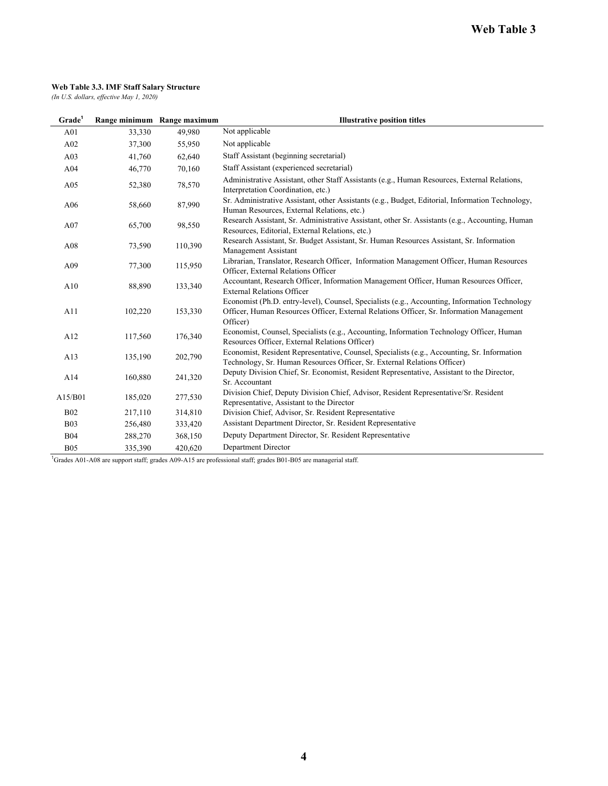#### **Web Table 3.3. IMF Staff Salary Structure**

*(In U.S. dollars, effective May 1, 2020)*

| Grade <sup>1</sup> |         | Range minimum Range maximum | <b>Illustrative position titles</b>                                                                                                                                                                   |  |  |  |  |  |  |
|--------------------|---------|-----------------------------|-------------------------------------------------------------------------------------------------------------------------------------------------------------------------------------------------------|--|--|--|--|--|--|
| A01                | 33,330  | 49,980                      | Not applicable                                                                                                                                                                                        |  |  |  |  |  |  |
| A02                | 37,300  | 55,950                      | Not applicable                                                                                                                                                                                        |  |  |  |  |  |  |
| A03                | 41,760  | 62,640                      | Staff Assistant (beginning secretarial)                                                                                                                                                               |  |  |  |  |  |  |
| A <sub>04</sub>    | 46,770  | 70,160                      | Staff Assistant (experienced secretarial)                                                                                                                                                             |  |  |  |  |  |  |
| A05                | 52,380  | 78,570                      | Administrative Assistant, other Staff Assistants (e.g., Human Resources, External Relations,<br>Interpretation Coordination, etc.)                                                                    |  |  |  |  |  |  |
| A06                | 58,660  | 87,990                      | Sr. Administrative Assistant, other Assistants (e.g., Budget, Editorial, Information Technology,<br>Human Resources, External Relations, etc.)                                                        |  |  |  |  |  |  |
| A07                | 65,700  | 98,550                      | Research Assistant, Sr. Administrative Assistant, other Sr. Assistants (e.g., Accounting, Human<br>Resources, Editorial, External Relations, etc.)                                                    |  |  |  |  |  |  |
| A08                | 73,590  | 110,390                     | Research Assistant, Sr. Budget Assistant, Sr. Human Resources Assistant, Sr. Information<br>Management Assistant                                                                                      |  |  |  |  |  |  |
| A09                | 77,300  | 115,950                     | Librarian, Translator, Research Officer, Information Management Officer, Human Resources<br>Officer, External Relations Officer                                                                       |  |  |  |  |  |  |
| A10                | 88,890  | 133,340                     | Accountant, Research Officer, Information Management Officer, Human Resources Officer,<br><b>External Relations Officer</b>                                                                           |  |  |  |  |  |  |
| A11                | 102,220 | 153,330                     | Economist (Ph.D. entry-level), Counsel, Specialists (e.g., Accounting, Information Technology<br>Officer, Human Resources Officer, External Relations Officer, Sr. Information Management<br>Officer) |  |  |  |  |  |  |
| A12                | 117,560 | 176,340                     | Economist, Counsel, Specialists (e.g., Accounting, Information Technology Officer, Human<br>Resources Officer, External Relations Officer)                                                            |  |  |  |  |  |  |
| A13                | 135,190 | 202,790                     | Economist, Resident Representative, Counsel, Specialists (e.g., Accounting, Sr. Information<br>Technology, Sr. Human Resources Officer, Sr. External Relations Officer)                               |  |  |  |  |  |  |
| A14                | 160,880 | 241,320                     | Deputy Division Chief, Sr. Economist, Resident Representative, Assistant to the Director,<br>Sr. Accountant                                                                                           |  |  |  |  |  |  |
| A15/B01            | 185,020 | 277,530                     | Division Chief, Deputy Division Chief, Advisor, Resident Representative/Sr. Resident<br>Representative, Assistant to the Director                                                                     |  |  |  |  |  |  |
| <b>B02</b>         | 217,110 | 314,810                     | Division Chief, Advisor, Sr. Resident Representative                                                                                                                                                  |  |  |  |  |  |  |
| <b>B03</b>         | 256,480 | 333,420                     | Assistant Department Director, Sr. Resident Representative                                                                                                                                            |  |  |  |  |  |  |
| <b>B04</b>         | 288,270 | 368,150                     | Deputy Department Director, Sr. Resident Representative                                                                                                                                               |  |  |  |  |  |  |
| <b>B05</b>         | 335,390 | 420.620                     | Department Director                                                                                                                                                                                   |  |  |  |  |  |  |

<sup>1</sup>Grades A01-A08 are support staff; grades A09-A15 are professional staff; grades B01-B05 are managerial staff.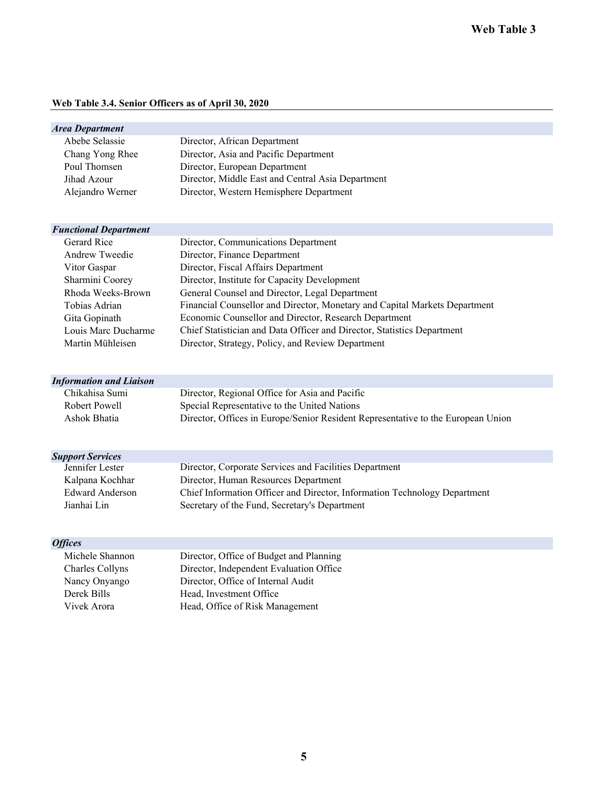#### **Web Table 3.4. Senior Officers as of April 30, 2020**

| <b>Area Department</b>                           |                                                                                  |
|--------------------------------------------------|----------------------------------------------------------------------------------|
| Abebe Selassie                                   | Director, African Department                                                     |
| Chang Yong Rhee                                  | Director, Asia and Pacific Department                                            |
| Poul Thomsen                                     | Director, European Department                                                    |
| Jihad Azour                                      | Director, Middle East and Central Asia Department                                |
| Alejandro Werner                                 | Director, Western Hemisphere Department                                          |
|                                                  |                                                                                  |
| <b>Functional Department</b>                     |                                                                                  |
| <b>Gerard Rice</b>                               | Director, Communications Department                                              |
| Andrew Tweedie                                   | Director, Finance Department                                                     |
| Vitor Gaspar                                     | Director, Fiscal Affairs Department                                              |
| Sharmini Coorey                                  | Director, Institute for Capacity Development                                     |
| Rhoda Weeks-Brown                                | General Counsel and Director, Legal Department                                   |
| Tobias Adrian                                    | Financial Counsellor and Director, Monetary and Capital Markets Department       |
|                                                  |                                                                                  |
| Gita Gopinath                                    | Economic Counsellor and Director, Research Department                            |
| Louis Marc Ducharme<br>Martin Mühleisen          | Chief Statistician and Data Officer and Director, Statistics Department          |
|                                                  | Director, Strategy, Policy, and Review Department                                |
|                                                  |                                                                                  |
| <b>Information and Liaison</b><br>Chikahisa Sumi |                                                                                  |
| Robert Powell                                    | Director, Regional Office for Asia and Pacific                                   |
|                                                  | Special Representative to the United Nations                                     |
| Ashok Bhatia                                     | Director, Offices in Europe/Senior Resident Representative to the European Union |
|                                                  |                                                                                  |
| <b>Support Services</b>                          |                                                                                  |
| Jennifer Lester                                  | Director, Corporate Services and Facilities Department                           |
| Kalpana Kochhar                                  | Director, Human Resources Department                                             |
| Edward Anderson                                  | Chief Information Officer and Director, Information Technology Department        |
| Jianhai Lin                                      | Secretary of the Fund, Secretary's Department                                    |
| <b>Offices</b>                                   |                                                                                  |
| Michele Shannon                                  | Director, Office of Budget and Planning                                          |
| Charles Collyns                                  | Director, Independent Evaluation Office                                          |
| Nancy Onyango                                    | Director, Office of Internal Audit                                               |
| Derek Bills                                      | Head, Investment Office                                                          |
| Vivek Arora                                      | Head, Office of Risk Management                                                  |
|                                                  |                                                                                  |